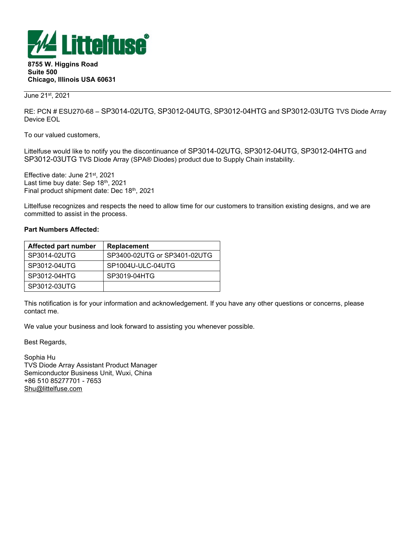

8755 W. Higgins Road Suite 500 Chicago, Illinois USA 60631

June 21st, 2021

RE: PCN # ESU270-68 – SP3014-02UTG, SP3012-04UTG, SP3012-04HTG and SP3012-03UTG TVS Diode Array Device EOL

To our valued customers,

Littelfuse would like to notify you the discontinuance of SP3014-02UTG, SP3012-04UTG, SP3012-04HTG and SP3012-03UTG TVS Diode Array (SPA® Diodes) product due to Supply Chain instability.

Effective date: June 21st, 2021 Last time buy date: Sep 18th, 2021 Final product shipment date: Dec 18th, 2021

Littelfuse recognizes and respects the need to allow time for our customers to transition existing designs, and we are committed to assist in the process.

## Part Numbers Affected:

| <b>Affected part number</b> | Replacement                  |
|-----------------------------|------------------------------|
| SP3014-02UTG                | SP3400-02UTG or SP3401-02UTG |
| SP3012-04UTG                | SP1004U-ULC-04UTG            |
| SP3012-04HTG                | SP3019-04HTG                 |
| SP3012-03UTG                |                              |

This notification is for your information and acknowledgement. If you have any other questions or concerns, please contact me.

We value your business and look forward to assisting you whenever possible.

Best Regards,

Sophia Hu TVS Diode Array Assistant Product Manager Semiconductor Business Unit, Wuxi, China +86 510 85277701 - 7653 Shu@littelfuse.com